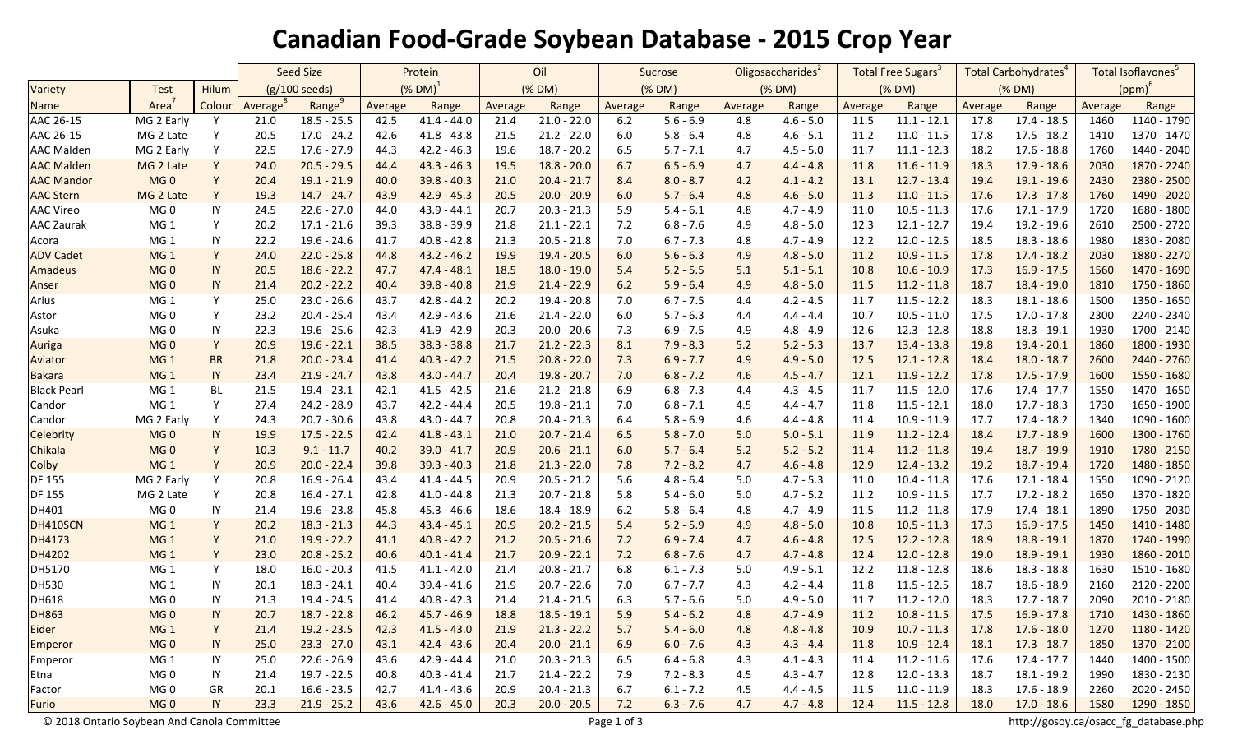## **Canadian Food-Grade Soybean Database - 2015 Crop Year**

|                    |                   |           | <b>Seed Size</b> |               | Protein       |               | Oil     |               | Sucrose |             | Oligosaccharides <sup>2</sup> |             | Total Free Sugars <sup>3</sup> |               | Total Carbohydrates <sup>4</sup> |               | Total Isoflavones <sup>5</sup> |               |
|--------------------|-------------------|-----------|------------------|---------------|---------------|---------------|---------|---------------|---------|-------------|-------------------------------|-------------|--------------------------------|---------------|----------------------------------|---------------|--------------------------------|---------------|
| Variety            | Test              | Hilum     | (g/100 seeds)    |               | $(X$ DM $)^1$ |               | (% DM)  |               | (% DM)  |             | (% DM)                        |             | (% DM)                         |               | (% DM)                           |               | $(ppm)^6$                      |               |
| <b>Name</b>        | Area <sup>7</sup> | Colour    | Average          | Range         | Average       | Range         | Average | Range         | Average | Range       | Average                       | Range       | Average                        | Range         | Average                          | Range         | Average                        | Range         |
| AAC 26-15          | MG 2 Early        | Y         | 21.0             | $18.5 - 25.5$ | 42.5          | $41.4 - 44.0$ | 21.4    | $21.0 - 22.0$ | 6.2     | $5.6 - 6.9$ | 4.8                           | $4.6 - 5.0$ | 11.5                           | $11.1 - 12.1$ | 17.8                             | $17.4 - 18.5$ | 1460                           | 1140 - 1790   |
| AAC 26-15          | MG 2 Late         | Y         | 20.5             | $17.0 - 24.2$ | 42.6          | $41.8 - 43.8$ | 21.5    | $21.2 - 22.0$ | $6.0\,$ | $5.8 - 6.4$ | 4.8                           | $4.6 - 5.1$ | 11.2                           | $11.0 - 11.5$ | 17.8                             | $17.5 - 18.2$ | 1410                           | 1370 - 1470   |
| <b>AAC Malden</b>  | MG 2 Early        | Υ         | 22.5             | $17.6 - 27.9$ | 44.3          | $42.2 - 46.3$ | 19.6    | $18.7 - 20.2$ | 6.5     | $5.7 - 7.1$ | 4.7                           | $4.5 - 5.0$ | 11.7                           | $11.1 - 12.3$ | 18.2                             | $17.6 - 18.8$ | 1760                           | 1440 - 2040   |
| <b>AAC Malden</b>  | MG 2 Late         | Y         | 24.0             | $20.5 - 29.5$ | 44.4          | $43.3 - 46.3$ | 19.5    | $18.8 - 20.0$ | 6.7     | $6.5 - 6.9$ | 4.7                           | $4.4 - 4.8$ | 11.8                           | $11.6 - 11.9$ | 18.3                             | $17.9 - 18.6$ | 2030                           | 1870 - 2240   |
| <b>AAC Mandor</b>  | MG <sub>0</sub>   | Y         | 20.4             | $19.1 - 21.9$ | 40.0          | $39.8 - 40.3$ | 21.0    | $20.4 - 21.7$ | 8.4     | $8.0 - 8.7$ | 4.2                           | $4.1 - 4.2$ | 13.1                           | $12.7 - 13.4$ | 19.4                             | $19.1 - 19.6$ | 2430                           | 2380 - 2500   |
| <b>AAC Stern</b>   | MG 2 Late         | Y         | 19.3             | $14.7 - 24.7$ | 43.9          | $42.9 - 45.3$ | 20.5    | $20.0 - 20.9$ | 6.0     | $5.7 - 6.4$ | 4.8                           | $4.6 - 5.0$ | 11.3                           | $11.0 - 11.5$ | 17.6                             | $17.3 - 17.8$ | 1760                           | 1490 - 2020   |
| <b>AAC Vireo</b>   | MG <sub>0</sub>   | IY        | 24.5             | $22.6 - 27.0$ | 44.0          | $43.9 - 44.1$ | 20.7    | $20.3 - 21.3$ | 5.9     | $5.4 - 6.1$ | 4.8                           | $4.7 - 4.9$ | 11.0                           | $10.5 - 11.3$ | 17.6                             | $17.1 - 17.9$ | 1720                           | 1680 - 1800   |
| <b>AAC Zaurak</b>  | MG <sub>1</sub>   | Y         | 20.2             | $17.1 - 21.6$ | 39.3          | $38.8 - 39.9$ | 21.8    | $21.1 - 22.1$ | 7.2     | $6.8 - 7.6$ | 4.9                           | $4.8 - 5.0$ | 12.3                           | $12.1 - 12.7$ | 19.4                             | 19.2 - 19.6   | 2610                           | 2500 - 2720   |
| Acora              | MG <sub>1</sub>   | IY        | 22.2             | $19.6 - 24.6$ | 41.7          | $40.8 - 42.8$ | 21.3    | $20.5 - 21.8$ | 7.0     | $6.7 - 7.3$ | 4.8                           | $4.7 - 4.9$ | 12.2                           | $12.0 - 12.5$ | 18.5                             | $18.3 - 18.6$ | 1980                           | 1830 - 2080   |
| <b>ADV Cadet</b>   | MG <sub>1</sub>   | Y         | 24.0             | $22.0 - 25.8$ | 44.8          | $43.2 - 46.2$ | 19.9    | $19.4 - 20.5$ | 6.0     | $5.6 - 6.3$ | 4.9                           | $4.8 - 5.0$ | 11.2                           | $10.9 - 11.5$ | 17.8                             | $17.4 - 18.2$ | 2030                           | 1880 - 2270   |
| Amadeus            | MG <sub>0</sub>   | IY        | 20.5             | $18.6 - 22.2$ | 47.7          | $47.4 - 48.1$ | 18.5    | $18.0 - 19.0$ | 5.4     | $5.2 - 5.5$ | 5.1                           | $5.1 - 5.1$ | 10.8                           | $10.6 - 10.9$ | 17.3                             | $16.9 - 17.5$ | 1560                           | 1470 - 1690   |
| Anser              | MG <sub>0</sub>   | IY        | 21.4             | $20.2 - 22.2$ | 40.4          | $39.8 - 40.8$ | 21.9    | $21.4 - 22.9$ | 6.2     | $5.9 - 6.4$ | 4.9                           | $4.8 - 5.0$ | 11.5                           | $11.2 - 11.8$ | 18.7                             | $18.4 - 19.0$ | 1810                           | 1750 - 1860   |
| Arius              | MG <sub>1</sub>   | Y         | 25.0             | $23.0 - 26.6$ | 43.7          | $42.8 - 44.2$ | 20.2    | 19.4 - 20.8   | 7.0     | $6.7 - 7.5$ | 4.4                           | $4.2 - 4.5$ | 11.7                           | $11.5 - 12.2$ | 18.3                             | $18.1 - 18.6$ | 1500                           | 1350 - 1650   |
| Astor              | MG <sub>0</sub>   | Y         | 23.2             | $20.4 - 25.4$ | 43.4          | $42.9 - 43.6$ | 21.6    | $21.4 - 22.0$ | 6.0     | $5.7 - 6.3$ | 4.4                           | $4.4 - 4.4$ | 10.7                           | $10.5 - 11.0$ | 17.5                             | 17.0 - 17.8   | 2300                           | 2240 - 2340   |
| Asuka              | MG <sub>0</sub>   | IY        | 22.3             | $19.6 - 25.6$ | 42.3          | $41.9 - 42.9$ | 20.3    | $20.0 - 20.6$ | 7.3     | $6.9 - 7.5$ | 4.9                           | $4.8 - 4.9$ | 12.6                           | $12.3 - 12.8$ | 18.8                             | $18.3 - 19.1$ | 1930                           | 1700 - 2140   |
| <b>Auriga</b>      | MG <sub>0</sub>   | Y         | 20.9             | $19.6 - 22.1$ | 38.5          | $38.3 - 38.8$ | 21.7    | $21.2 - 22.3$ | 8.1     | $7.9 - 8.3$ | 5.2                           | $5.2 - 5.3$ | 13.7                           | $13.4 - 13.8$ | 19.8                             | $19.4 - 20.1$ | 1860                           | 1800 - 1930   |
| Aviator            | MG <sub>1</sub>   | <b>BR</b> | 21.8             | $20.0 - 23.4$ | 41.4          | $40.3 - 42.2$ | 21.5    | $20.8 - 22.0$ | 7.3     | $6.9 - 7.7$ | 4.9                           | $4.9 - 5.0$ | 12.5                           | $12.1 - 12.8$ | 18.4                             | $18.0 - 18.7$ | 2600                           | 2440 - 2760   |
| <b>Bakara</b>      | MG <sub>1</sub>   | IY        | 23.4             | $21.9 - 24.7$ | 43.8          | $43.0 - 44.7$ | 20.4    | $19.8 - 20.7$ | 7.0     | $6.8 - 7.2$ | 4.6                           | $4.5 - 4.7$ | 12.1                           | $11.9 - 12.2$ | 17.8                             | $17.5 - 17.9$ | 1600                           | 1550 - 1680   |
| <b>Black Pearl</b> | MG <sub>1</sub>   | BL        | 21.5             | $19.4 - 23.1$ | 42.1          | $41.5 - 42.5$ | 21.6    | $21.2 - 21.8$ | 6.9     | $6.8 - 7.3$ | 4.4                           | $4.3 - 4.5$ | 11.7                           | $11.5 - 12.0$ | 17.6                             | $17.4 - 17.7$ | 1550                           | 1470 - 1650   |
| Candor             | MG <sub>1</sub>   | Y         | 27.4             | $24.2 - 28.9$ | 43.7          | $42.2 - 44.4$ | 20.5    | $19.8 - 21.1$ | 7.0     | $6.8 - 7.1$ | 4.5                           | $4.4 - 4.7$ | 11.8                           | $11.5 - 12.1$ | 18.0                             | $17.7 - 18.3$ | 1730                           | 1650 - 1900   |
| Candor             | MG 2 Early        | Y         | 24.3             | $20.7 - 30.6$ | 43.8          | $43.0 - 44.7$ | 20.8    | $20.4 - 21.3$ | 6.4     | $5.8 - 6.9$ | 4.6                           | $4.4 - 4.8$ | 11.4                           | $10.9 - 11.9$ | 17.7                             | $17.4 - 18.2$ | 1340                           | 1090 - 1600   |
| Celebrity          | MG <sub>0</sub>   | IY        | 19.9             | $17.5 - 22.5$ | 42.4          | $41.8 - 43.1$ | 21.0    | $20.7 - 21.4$ | 6.5     | $5.8 - 7.0$ | 5.0                           | $5.0 - 5.1$ | 11.9                           | $11.2 - 12.4$ | 18.4                             | $17.7 - 18.9$ | 1600                           | 1300 - 1760   |
| Chikala            | MG <sub>0</sub>   | Y         | 10.3             | $9.1 - 11.7$  | 40.2          | $39.0 - 41.7$ | 20.9    | $20.6 - 21.1$ | 6.0     | $5.7 - 6.4$ | 5.2                           | $5.2 - 5.2$ | 11.4                           | $11.2 - 11.8$ | 19.4                             | $18.7 - 19.9$ | 1910                           | 1780 - 2150   |
| Colby              | MG <sub>1</sub>   | Y         | 20.9             | $20.0 - 22.4$ | 39.8          | $39.3 - 40.3$ | 21.8    | $21.3 - 22.0$ | 7.8     | $7.2 - 8.2$ | 4.7                           | $4.6 - 4.8$ | 12.9                           | $12.4 - 13.2$ | 19.2                             | $18.7 - 19.4$ | 1720                           | 1480 - 1850   |
| <b>DF 155</b>      | MG 2 Early        | Υ         | 20.8             | $16.9 - 26.4$ | 43.4          | $41.4 - 44.5$ | 20.9    | $20.5 - 21.2$ | 5.6     | $4.8 - 6.4$ | 5.0                           | $4.7 - 5.3$ | 11.0                           | $10.4 - 11.8$ | 17.6                             | $17.1 - 18.4$ | 1550                           | 1090 - 2120   |
| <b>DF 155</b>      | MG 2 Late         | Υ         | 20.8             | $16.4 - 27.1$ | 42.8          | $41.0 - 44.8$ | 21.3    | $20.7 - 21.8$ | 5.8     | $5.4 - 6.0$ | 5.0                           | $4.7 - 5.2$ | 11.2                           | $10.9 - 11.5$ | 17.7                             | $17.2 - 18.2$ | 1650                           | 1370 - 1820   |
| DH401              | MG <sub>0</sub>   | IY        | 21.4             | $19.6 - 23.8$ | 45.8          | $45.3 - 46.6$ | 18.6    | 18.4 - 18.9   | $6.2$   | $5.8 - 6.4$ | 4.8                           | $4.7 - 4.9$ | 11.5                           | $11.2 - 11.8$ | 17.9                             | $17.4 - 18.1$ | 1890                           | 1750 - 2030   |
| DH410SCN           | MG <sub>1</sub>   | Y         | 20.2             | $18.3 - 21.3$ | 44.3          | $43.4 - 45.1$ | 20.9    | $20.2 - 21.5$ | 5.4     | $5.2 - 5.9$ | 4.9                           | $4.8 - 5.0$ | 10.8                           | $10.5 - 11.3$ | 17.3                             | $16.9 - 17.5$ | 1450                           | 1410 - 1480   |
| DH4173             | MG <sub>1</sub>   | Y         | 21.0             | $19.9 - 22.2$ | 41.1          | $40.8 - 42.2$ | 21.2    | $20.5 - 21.6$ | 7.2     | $6.9 - 7.4$ | 4.7                           | $4.6 - 4.8$ | 12.5                           | $12.2 - 12.8$ | 18.9                             | $18.8 - 19.1$ | 1870                           | 1740 - 1990   |
| DH4202             | MG <sub>1</sub>   | Y         | 23.0             | $20.8 - 25.2$ | 40.6          | $40.1 - 41.4$ | 21.7    | $20.9 - 22.1$ | 7.2     | $6.8 - 7.6$ | 4.7                           | $4.7 - 4.8$ | 12.4                           | $12.0 - 12.8$ | 19.0                             | $18.9 - 19.1$ | 1930                           | 1860 - 2010   |
| DH5170             | MG <sub>1</sub>   | Y         | 18.0             | $16.0 - 20.3$ | 41.5          | $41.1 - 42.0$ | 21.4    | $20.8 - 21.7$ | 6.8     | $6.1 - 7.3$ | 5.0                           | $4.9 - 5.1$ | 12.2                           | $11.8 - 12.8$ | 18.6                             | $18.3 - 18.8$ | 1630                           | 1510 - 1680   |
| DH530              | MG <sub>1</sub>   | IY        | 20.1             | $18.3 - 24.1$ | 40.4          | $39.4 - 41.6$ | 21.9    | $20.7 - 22.6$ | 7.0     | $6.7 - 7.7$ | 4.3                           | $4.2 - 4.4$ | 11.8                           | $11.5 - 12.5$ | 18.7                             | $18.6 - 18.9$ | 2160                           | 2120 - 2200   |
| DH618              | MG <sub>0</sub>   | $\sf IY$  | 21.3             | 19.4 - 24.5   | 41.4          | $40.8 - 42.3$ | 21.4    | $21.4 - 21.5$ | 6.3     | $5.7 - 6.6$ | 5.0                           | $4.9 - 5.0$ | 11.7                           | $11.2 - 12.0$ | 18.3                             | $17.7 - 18.7$ | 2090                           | 2010 - 2180   |
| <b>DH863</b>       | MG <sub>0</sub>   | IY 1      | 20.7             | $18.7 - 22.8$ | 46.2          | $45.7 - 46.9$ | 18.8    | $18.5 - 19.1$ | 5.9     | $5.4 - 6.2$ | 4.8                           | $4.7 - 4.9$ | 11.2                           | $10.8 - 11.5$ | 17.5                             | $16.9 - 17.8$ | 1710                           | 1430 - 1860   |
| Eider              | MG <sub>1</sub>   | Y         | 21.4             | $19.2 - 23.5$ | 42.3          | $41.5 - 43.0$ | 21.9    | $21.3 - 22.2$ | 5.7     | $5.4 - 6.0$ | 4.8                           | $4.8 - 4.8$ | 10.9                           | $10.7 - 11.3$ | 17.8                             | $17.6 - 18.0$ | 1270                           | $1180 - 1420$ |
| Emperor            | MG <sub>0</sub>   | $\sf{IY}$ | 25.0             | $23.3 - 27.0$ | 43.1          | $42.4 - 43.6$ | 20.4    | $20.0 - 21.1$ | 6.9     | $6.0 - 7.6$ | 4.3                           | $4.3 - 4.4$ | 11.8                           | $10.9 - 12.4$ | 18.1                             | $17.3 - 18.7$ | 1850                           | 1370 - 2100   |
| Emperor            | MG <sub>1</sub>   | IY        | 25.0             | $22.6 - 26.9$ | 43.6          | 42.9 - 44.4   | 21.0    | $20.3 - 21.3$ | 6.5     | $6.4 - 6.8$ | 4.3                           | $4.1 - 4.3$ | 11.4                           | $11.2 - 11.6$ | 17.6                             | 17.4 - 17.7   | 1440                           | 1400 - 1500   |
| Etna               | MG 0              | IY        | 21.4             | $19.7 - 22.5$ | 40.8          | $40.3 - 41.4$ | 21.7    | $21.4 - 22.2$ | 7.9     | $7.2 - 8.3$ | 4.5                           | $4.3 - 4.7$ | 12.8                           | $12.0 - 13.3$ | 18.7                             | 18.1 - 19.2   | 1990                           | 1830 - 2130   |
| Factor             | MG <sub>0</sub>   | GR        | 20.1             | $16.6 - 23.5$ | 42.7          | $41.4 - 43.6$ | 20.9    | $20.4 - 21.3$ | 6.7     | $6.1 - 7.2$ | 4.5                           | $4.4 - 4.5$ | 11.5                           | $11.0 - 11.9$ | 18.3                             | 17.6 - 18.9   | 2260                           | 2020 - 2450   |
| Furio              | MG <sub>0</sub>   | IY        | 23.3             | $21.9 - 25.2$ | 43.6          | $42.6 - 45.0$ | 20.3    | $20.0 - 20.5$ | 7.2     | $6.3 - 7.6$ | 4.7                           | $4.7 - 4.8$ | 12.4                           | $11.5 - 12.8$ | 18.0                             | $17.0 - 18.6$ | 1580                           | 1290 - 1850   |

© 2018 Ontario Soybean And Canola Committee Page 1 of 3 http://gosoy.ca/osacc\_fg\_database.php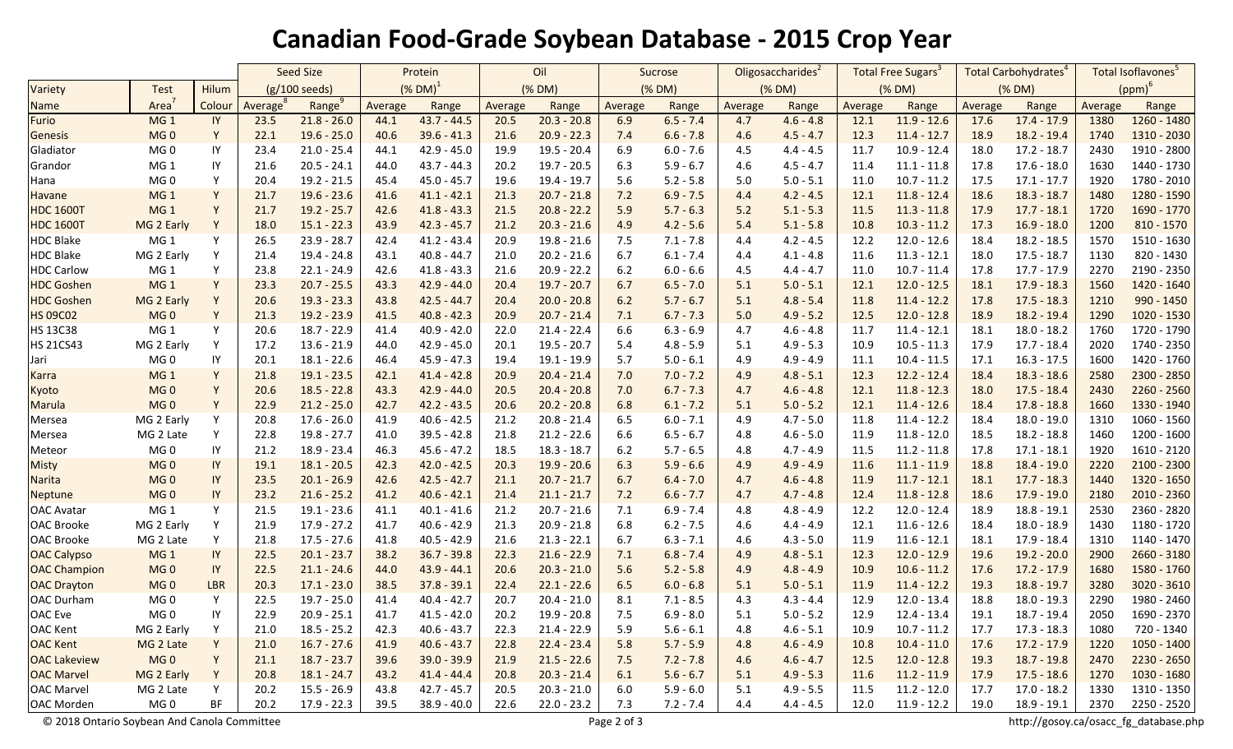## **Canadian Food-Grade Soybean Database - 2015 Crop Year**

|                     |                   |            | <b>Seed Size</b>        |               | Protein                |               | Oil     |               | Sucrose |             | Oligosaccharides <sup>2</sup> |             | Total Free Sugars <sup>3</sup> |               | Total Carbohydrates <sup>4</sup> |               | Total Isoflavones <sup>5</sup> |               |
|---------------------|-------------------|------------|-------------------------|---------------|------------------------|---------------|---------|---------------|---------|-------------|-------------------------------|-------------|--------------------------------|---------------|----------------------------------|---------------|--------------------------------|---------------|
| Variety             | <b>Test</b>       | Hilum      | $(g/100 \text{ seeds})$ |               | $(\%$ DM) <sup>1</sup> |               | (% DM)  |               | (% DM)  |             | (% DM)                        |             | (% DM)                         |               | (% DM)                           |               | $(ppm)^6$                      |               |
| <b>Name</b>         | Area <sup>7</sup> | Colour     | Average                 | Range         | Average                | Range         | Average | Range         | Average | Range       | Average                       | Range       | Average                        | Range         | Average                          | Range         | Average                        | Range         |
| Furio               | MG <sub>1</sub>   | IY         | 23.5                    | $21.8 - 26.0$ | 44.1                   | $43.7 - 44.5$ | 20.5    | $20.3 - 20.8$ | 6.9     | $6.5 - 7.4$ | 4.7                           | $4.6 - 4.8$ | 12.1                           | $11.9 - 12.6$ | 17.6                             | $17.4 - 17.9$ | 1380                           | 1260 - 1480   |
| <b>Genesis</b>      | MG <sub>0</sub>   | Y          | 22.1                    | $19.6 - 25.0$ | 40.6                   | $39.6 - 41.3$ | 21.6    | $20.9 - 22.3$ | 7.4     | $6.6 - 7.8$ | 4.6                           | $4.5 - 4.7$ | 12.3                           | $11.4 - 12.7$ | 18.9                             | $18.2 - 19.4$ | 1740                           | 1310 - 2030   |
| Gladiator           | MG <sub>0</sub>   | IY         | 23.4                    | $21.0 - 25.4$ | 44.1                   | $42.9 - 45.0$ | 19.9    | $19.5 - 20.4$ | 6.9     | $6.0 - 7.6$ | 4.5                           | $4.4 - 4.5$ | 11.7                           | $10.9 - 12.4$ | 18.0                             | $17.2 - 18.7$ | 2430                           | 1910 - 2800   |
| Grandor             | MG <sub>1</sub>   | IY         | 21.6                    | $20.5 - 24.1$ | 44.0                   | $43.7 - 44.3$ | 20.2    | $19.7 - 20.5$ | 6.3     | $5.9 - 6.7$ | 4.6                           | $4.5 - 4.7$ | 11.4                           | $11.1 - 11.8$ | 17.8                             | $17.6 - 18.0$ | 1630                           | 1440 - 1730   |
| Hana                | MG <sub>0</sub>   | Υ          | 20.4                    | $19.2 - 21.5$ | 45.4                   | $45.0 - 45.7$ | 19.6    | $19.4 - 19.7$ | 5.6     | $5.2 - 5.8$ | 5.0                           | $5.0 - 5.1$ | 11.0                           | $10.7 - 11.2$ | 17.5                             | $17.1 - 17.7$ | 1920                           | 1780 - 2010   |
| <b>Havane</b>       | MG <sub>1</sub>   | Y          | 21.7                    | $19.6 - 23.6$ | 41.6                   | $41.1 - 42.1$ | 21.3    | $20.7 - 21.8$ | 7.2     | $6.9 - 7.5$ | 4.4                           | $4.2 - 4.5$ | 12.1                           | $11.8 - 12.4$ | 18.6                             | $18.3 - 18.7$ | 1480                           | 1280 - 1590   |
| <b>HDC 1600T</b>    | MG <sub>1</sub>   | Y          | 21.7                    | $19.2 - 25.7$ | 42.6                   | $41.8 - 43.3$ | 21.5    | $20.8 - 22.2$ | 5.9     | $5.7 - 6.3$ | 5.2                           | $5.1 - 5.3$ | 11.5                           | $11.3 - 11.8$ | 17.9                             | $17.7 - 18.1$ | 1720                           | 1690 - 1770   |
| <b>HDC 1600T</b>    | MG 2 Early        | Y          | 18.0                    | $15.1 - 22.3$ | 43.9                   | $42.3 - 45.7$ | 21.2    | $20.3 - 21.6$ | 4.9     | $4.2 - 5.6$ | 5.4                           | $5.1 - 5.8$ | 10.8                           | $10.3 - 11.2$ | 17.3                             | $16.9 - 18.0$ | 1200                           | 810 - 1570    |
| <b>HDC Blake</b>    | MG <sub>1</sub>   | Y          | 26.5                    | $23.9 - 28.7$ | 42.4                   | $41.2 - 43.4$ | 20.9    | $19.8 - 21.6$ | 7.5     | $7.1 - 7.8$ | 4.4                           | $4.2 - 4.5$ | 12.2                           | $12.0 - 12.6$ | 18.4                             | $18.2 - 18.5$ | 1570                           | 1510 - 1630   |
| <b>HDC Blake</b>    | MG 2 Early        | Y          | 21.4                    | $19.4 - 24.8$ | 43.1                   | $40.8 - 44.7$ | 21.0    | $20.2 - 21.6$ | 6.7     | $6.1 - 7.4$ | 4.4                           | $4.1 - 4.8$ | 11.6                           | $11.3 - 12.1$ | 18.0                             | $17.5 - 18.7$ | 1130                           | 820 - 1430    |
| <b>HDC Carlow</b>   | MG <sub>1</sub>   | Y          | 23.8                    | $22.1 - 24.9$ | 42.6                   | $41.8 - 43.3$ | 21.6    | $20.9 - 22.2$ | 6.2     | $6.0 - 6.6$ | 4.5                           | $4.4 - 4.7$ | 11.0                           | $10.7 - 11.4$ | 17.8                             | $17.7 - 17.9$ | 2270                           | 2190 - 2350   |
| <b>HDC Goshen</b>   | MG <sub>1</sub>   | Y          | 23.3                    | $20.7 - 25.5$ | 43.3                   | $42.9 - 44.0$ | 20.4    | $19.7 - 20.7$ | 6.7     | $6.5 - 7.0$ | 5.1                           | $5.0 - 5.1$ | 12.1                           | $12.0 - 12.5$ | 18.1                             | $17.9 - 18.3$ | 1560                           | 1420 - 1640   |
| <b>HDC Goshen</b>   | MG 2 Early        | Y          | 20.6                    | $19.3 - 23.3$ | 43.8                   | $42.5 - 44.7$ | 20.4    | $20.0 - 20.8$ | 6.2     | $5.7 - 6.7$ | 5.1                           | $4.8 - 5.4$ | 11.8                           | $11.4 - 12.2$ | 17.8                             | $17.5 - 18.3$ | 1210                           | 990 - 1450    |
| <b>HS 09C02</b>     | MG <sub>0</sub>   | Y          | 21.3                    | $19.2 - 23.9$ | 41.5                   | $40.8 - 42.3$ | 20.9    | $20.7 - 21.4$ | 7.1     | $6.7 - 7.3$ | 5.0                           | $4.9 - 5.2$ | 12.5                           | $12.0 - 12.8$ | 18.9                             | $18.2 - 19.4$ | 1290                           | 1020 - 1530   |
| <b>HS 13C38</b>     | MG <sub>1</sub>   | Y          | 20.6                    | $18.7 - 22.9$ | 41.4                   | $40.9 - 42.0$ | 22.0    | $21.4 - 22.4$ | 6.6     | $6.3 - 6.9$ | 4.7                           | $4.6 - 4.8$ | 11.7                           | $11.4 - 12.1$ | 18.1                             | $18.0 - 18.2$ | 1760                           | 1720 - 1790   |
| <b>HS 21CS43</b>    | MG 2 Early        | Y          | 17.2                    | $13.6 - 21.9$ | 44.0                   | $42.9 - 45.0$ | 20.1    | $19.5 - 20.7$ | 5.4     | $4.8 - 5.9$ | 5.1                           | $4.9 - 5.3$ | 10.9                           | $10.5 - 11.3$ | 17.9                             | $17.7 - 18.4$ | 2020                           | 1740 - 2350   |
| Jari                | MG <sub>0</sub>   | IY         | 20.1                    | $18.1 - 22.6$ | 46.4                   | $45.9 - 47.3$ | 19.4    | 19.1 - 19.9   | 5.7     | $5.0 - 6.1$ | 4.9                           | $4.9 - 4.9$ | 11.1                           | $10.4 - 11.5$ | 17.1                             | $16.3 - 17.5$ | 1600                           | 1420 - 1760   |
| <b>Karra</b>        | MG <sub>1</sub>   | Y          | 21.8                    | $19.1 - 23.5$ | 42.1                   | $41.4 - 42.8$ | 20.9    | $20.4 - 21.4$ | 7.0     | $7.0 - 7.2$ | 4.9                           | $4.8 - 5.1$ | 12.3                           | $12.2 - 12.4$ | 18.4                             | $18.3 - 18.6$ | 2580                           | 2300 - 2850   |
| Kyoto               | MG <sub>0</sub>   | Y          | 20.6                    | $18.5 - 22.8$ | 43.3                   | $42.9 - 44.0$ | 20.5    | $20.4 - 20.8$ | 7.0     | $6.7 - 7.3$ | 4.7                           | $4.6 - 4.8$ | 12.1                           | $11.8 - 12.3$ | 18.0                             | $17.5 - 18.4$ | 2430                           | $2260 - 2560$ |
| <b>Marula</b>       | MG <sub>0</sub>   | Y          | 22.9                    | $21.2 - 25.0$ | 42.7                   | $42.2 - 43.5$ | 20.6    | $20.2 - 20.8$ | 6.8     | $6.1 - 7.2$ | 5.1                           | $5.0 - 5.2$ | 12.1                           | $11.4 - 12.6$ | 18.4                             | $17.8 - 18.8$ | 1660                           | 1330 - 1940   |
| Mersea              | MG 2 Early        | Υ          | 20.8                    | $17.6 - 26.0$ | 41.9                   | $40.6 - 42.5$ | 21.2    | $20.8 - 21.4$ | 6.5     | $6.0 - 7.1$ | 4.9                           | $4.7 - 5.0$ | 11.8                           | $11.4 - 12.2$ | 18.4                             | $18.0 - 19.0$ | 1310                           | $1060 - 1560$ |
| Mersea              | MG 2 Late         | Υ          | 22.8                    | $19.8 - 27.7$ | 41.0                   | $39.5 - 42.8$ | 21.8    | $21.2 - 22.6$ | 6.6     | $6.5 - 6.7$ | 4.8                           | $4.6 - 5.0$ | 11.9                           | $11.8 - 12.0$ | 18.5                             | $18.2 - 18.8$ | 1460                           | 1200 - 1600   |
| Meteor              | MG <sub>0</sub>   | IY         | 21.2                    | 18.9 - 23.4   | 46.3                   | $45.6 - 47.2$ | 18.5    | $18.3 - 18.7$ | $6.2$   | $5.7 - 6.5$ | 4.8                           | $4.7 - 4.9$ | 11.5                           | $11.2 - 11.8$ | 17.8                             | $17.1 - 18.1$ | 1920                           | 1610 - 2120   |
| <b>Misty</b>        | MG <sub>0</sub>   | IY         | 19.1                    | $18.1 - 20.5$ | 42.3                   | $42.0 - 42.5$ | 20.3    | $19.9 - 20.6$ | 6.3     | $5.9 - 6.6$ | 4.9                           | $4.9 - 4.9$ | 11.6                           | $11.1 - 11.9$ | 18.8                             | $18.4 - 19.0$ | 2220                           | 2100 - 2300   |
| <b>Narita</b>       | MG <sub>0</sub>   | IY         | 23.5                    | $20.1 - 26.9$ | 42.6                   | $42.5 - 42.7$ | 21.1    | $20.7 - 21.7$ | 6.7     | $6.4 - 7.0$ | 4.7                           | $4.6 - 4.8$ | 11.9                           | $11.7 - 12.1$ | 18.1                             | $17.7 - 18.3$ | 1440                           | 1320 - 1650   |
| <b>Neptune</b>      | MG <sub>0</sub>   | IY         | 23.2                    | $21.6 - 25.2$ | 41.2                   | $40.6 - 42.1$ | 21.4    | $21.1 - 21.7$ | 7.2     | $6.6 - 7.7$ | 4.7                           | $4.7 - 4.8$ | 12.4                           | $11.8 - 12.8$ | 18.6                             | $17.9 - 19.0$ | 2180                           | 2010 - 2360   |
| <b>OAC Avatar</b>   | MG <sub>1</sub>   | Υ          | 21.5                    | $19.1 - 23.6$ | 41.1                   | $40.1 - 41.6$ | 21.2    | $20.7 - 21.6$ | $7.1\,$ | $6.9 - 7.4$ | 4.8                           | $4.8 - 4.9$ | 12.2                           | $12.0 - 12.4$ | 18.9                             | $18.8 - 19.1$ | 2530                           | 2360 - 2820   |
| <b>OAC Brooke</b>   | MG 2 Early        | Υ          | 21.9                    | $17.9 - 27.2$ | 41.7                   | $40.6 - 42.9$ | 21.3    | $20.9 - 21.8$ | 6.8     | $6.2 - 7.5$ | 4.6                           | $4.4 - 4.9$ | 12.1                           | $11.6 - 12.6$ | 18.4                             | $18.0 - 18.9$ | 1430                           | 1180 - 1720   |
| <b>OAC Brooke</b>   | MG 2 Late         | Υ          | 21.8                    | $17.5 - 27.6$ | 41.8                   | $40.5 - 42.9$ | 21.6    | $21.3 - 22.1$ | 6.7     | $6.3 - 7.1$ | 4.6                           | $4.3 - 5.0$ | 11.9                           | $11.6 - 12.1$ | 18.1                             | $17.9 - 18.4$ | 1310                           | 1140 - 1470   |
| <b>OAC Calypso</b>  | MG <sub>1</sub>   | IY         | 22.5                    | $20.1 - 23.7$ | 38.2                   | $36.7 - 39.8$ | 22.3    | $21.6 - 22.9$ | 7.1     | $6.8 - 7.4$ | 4.9                           | $4.8 - 5.1$ | 12.3                           | $12.0 - 12.9$ | 19.6                             | $19.2 - 20.0$ | 2900                           | 2660 - 3180   |
| <b>OAC Champion</b> | MG <sub>0</sub>   | IY         | 22.5                    | $21.1 - 24.6$ | 44.0                   | $43.9 - 44.1$ | 20.6    | $20.3 - 21.0$ | 5.6     | $5.2 - 5.8$ | 4.9                           | $4.8 - 4.9$ | 10.9                           | $10.6 - 11.2$ | 17.6                             | $17.2 - 17.9$ | 1680                           | 1580 - 1760   |
| <b>OAC Drayton</b>  | MG <sub>0</sub>   | <b>LBR</b> | 20.3                    | $17.1 - 23.0$ | 38.5                   | $37.8 - 39.1$ | 22.4    | $22.1 - 22.6$ | 6.5     | $6.0 - 6.8$ | 5.1                           | $5.0 - 5.1$ | 11.9                           | $11.4 - 12.2$ | 19.3                             | $18.8 - 19.7$ | 3280                           | 3020 - 3610   |
| OAC Durham          | MG <sub>0</sub>   | Y          | 22.5                    | $19.7 - 25.0$ | 41.4                   | $40.4 - 42.7$ | 20.7    | $20.4 - 21.0$ | 8.1     | $7.1 - 8.5$ | 4.3                           | $4.3 - 4.4$ | 12.9                           | $12.0 - 13.4$ | 18.8                             | $18.0 - 19.3$ | 2290                           | 1980 - 2460   |
| OAC Eve             | MG <sub>0</sub>   | IY         | 22.9                    | $20.9 - 25.1$ | 41.7                   | $41.5 - 42.0$ | 20.2    | $19.9 - 20.8$ | $7.5$   | $6.9 - 8.0$ | $5.1$                         | $5.0 - 5.2$ | 12.9                           | $12.4 - 13.4$ | 19.1                             | $18.7 - 19.4$ | 2050                           | 1690 - 2370   |
| <b>OAC Kent</b>     | MG 2 Early        | Y          | 21.0                    | $18.5 - 25.2$ | 42.3                   | $40.6 - 43.7$ | 22.3    | $21.4 - 22.9$ | 5.9     | $5.6 - 6.1$ | 4.8                           | $4.6 - 5.1$ | 10.9                           | $10.7 - 11.2$ | 17.7                             | $17.3 - 18.3$ | 1080                           | 720 - 1340    |
| <b>OAC Kent</b>     | MG 2 Late         | Y          | 21.0                    | $16.7 - 27.6$ | 41.9                   | $40.6 - 43.7$ | 22.8    | $22.4 - 23.4$ | 5.8     | $5.7 - 5.9$ | 4.8                           | $4.6 - 4.9$ | 10.8                           | $10.4 - 11.0$ | 17.6                             | $17.2 - 17.9$ | 1220                           | $1050 - 1400$ |
| <b>OAC Lakeview</b> | MG <sub>0</sub>   | Y          | 21.1                    | $18.7 - 23.7$ | 39.6                   | $39.0 - 39.9$ | 21.9    | $21.5 - 22.6$ | 7.5     | $7.2 - 7.8$ | 4.6                           | $4.6 - 4.7$ | 12.5                           | $12.0 - 12.8$ | 19.3                             | $18.7 - 19.8$ | 2470                           | 2230 - 2650   |
| <b>OAC Marvel</b>   | MG 2 Early        | Y          | 20.8                    | $18.1 - 24.7$ | 43.2                   | $41.4 - 44.4$ | 20.8    | $20.3 - 21.4$ | 6.1     | $5.6 - 6.7$ | 5.1                           | $4.9 - 5.3$ | 11.6                           | $11.2 - 11.9$ | 17.9                             | $17.5 - 18.6$ | 1270                           | $1030 - 1680$ |
| <b>OAC Marvel</b>   | MG 2 Late         | Y          | 20.2                    | $15.5 - 26.9$ | 43.8                   | 42.7 - 45.7   | 20.5    | $20.3 - 21.0$ | 6.0     | $5.9 - 6.0$ | 5.1                           | $4.9 - 5.5$ | 11.5                           | $11.2 - 12.0$ | 17.7                             | 17.0 - 18.2   | 1330                           | 1310 - 1350   |
| <b>OAC Morden</b>   | MG 0              | BF         | 20.2                    | $17.9 - 22.3$ | 39.5                   | $38.9 - 40.0$ | 22.6    | $22.0 - 23.2$ | 7.3     | $7.2 - 7.4$ | 4.4                           | $4.4 - 4.5$ | 12.0                           | 11.9 - 12.2   | 19.0                             | 18.9 - 19.1   | 2370                           | 2250 - 2520   |

© 2018 Ontario Soybean And Canola Committee Page 2 of 3 http://gosoy.ca/osacc\_fg\_database.php